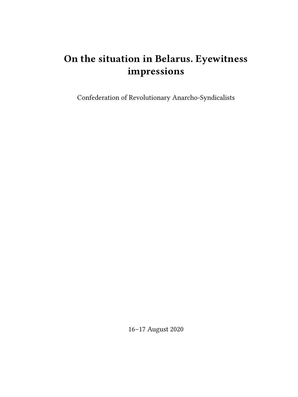# **On the situation in Belarus. Eyewitness impressions**

Confederation of Revolutionary Anarcho-Syndicalists

16–17 August 2020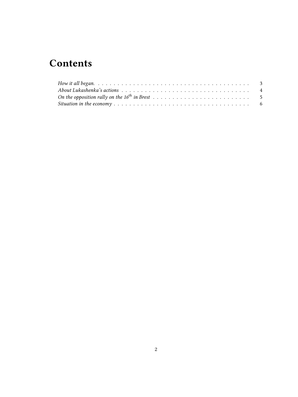## **Contents**

| How it all began. $\ldots \ldots \ldots \ldots \ldots \ldots \ldots \ldots \ldots \ldots \ldots \ldots \ldots$ |  |
|----------------------------------------------------------------------------------------------------------------|--|
|                                                                                                                |  |
|                                                                                                                |  |
|                                                                                                                |  |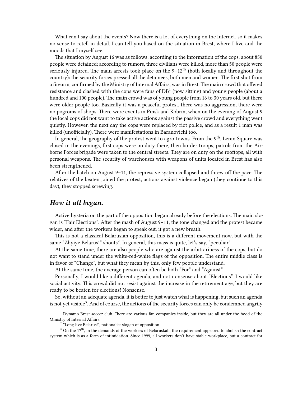What can I say about the events? Now there is a lot of everything on the Internet, so it makes no sense to retell in detail. I can tell you based on the situation in Brest, where I live and the moods that I myself see.

The situation by August 16 was as follows: according to the information of the cops, about 850 people were detained; according to rumors, three civilians were killed, more than 50 people were seriously injured. The main arrests took place on the  $9-12<sup>th</sup>$  (both locally and throughout the country): the security forces pressed all the detainees, both men and women. The first shot from a firearm, confirmed by the Ministry of Internal Affairs, was in Brest. The main crowd that offered resistance and clashed with the cops were fans of  $DB<sup>1</sup>$  (now sitting) and young people (about a hundred and 100 people). The main crowd was of young people from 16 to 30 years old, but there were older people too. Basically it was a peaceful protest, there was no aggression, there were no pogroms of shops. There were events in Pinsk and Kobrin, when on the evening of August 9 the local cops did not want to take active actions against the passive crowd and everything went quietly. However, the next day the cops were replaced by riot police, and as a result 1 man was killed (unofficially). There were manifestations in Baranovichi too.

In general, the geography of the protest went to agro-towns. From the 9<sup>th</sup>, Lenin Square was closed in the evenings, first cops were on duty there, then border troops, patrols from the Airborne Forces brigade were taken to the central streets. They are on duty on the rooftops, all with personal weapons. The security of warehouses with weapons of units located in Brest has also been strengthened.

After the batch on August 9–11, the repressive system collapsed and threw off the pace. The relatives of the beaten joined the protest, actions against violence began (they continue to this day), they stopped screwing.

#### <span id="page-2-0"></span>*How it all began.*

Active hysteria on the part of the opposition began already before the elections. The main slogan is "Fair Elections". After the mash of August 9–11, the tone changed and the protest became wider, and after the workers began to speak out, it got a new breath.

This is not a classical Belarusian opposition, this is a different movement now, but with the same "Zhyiye Belarus!" shouts<sup>2</sup>. In general, this mass is quite, let's say, "peculiar".

At the same time, there are also people who are against the arbitrariness of the cops, but do not want to stand under the white-red-white flags of the opposition. The entire middle class is in favor of "Change", but what they mean by this, only few people understand.

At the same time, the average person can often be both "For" and "Against".

Personally, I would like a different agenda, and not nonsense about "Elections". I would like social activity. This crowd did not resist against the increase in the retirement age, but they are ready to be beaten for elections! Nonsense.

So, without an adequate agenda, it is better to just watch what is happening, but such an agenda is not yet visible<sup>3</sup>. And of course, the actions of the security forces can only be condemned angrily

<sup>1</sup> Dynamo Brest soccer club. There are various fan companies inside, but they are all under the hood of the Ministry of Internal Affairs.

<sup>&</sup>lt;sup>2</sup> "Long live Belarus!", nationalist slogan of opposition

<sup>&</sup>lt;sup>3</sup> On the 17<sup>th</sup>, in the demands of the workers of Belaruskali, the requirement appeared to abolish the contract system which is as a form of intimidation. Since 1999, all workers don't have stable workplace, but a contract for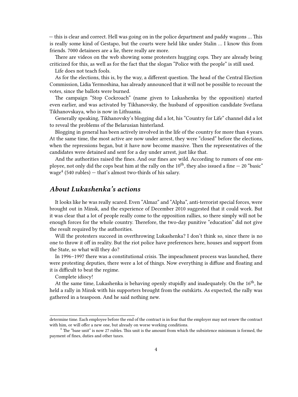— this is clear and correct. Hell was going on in the police department and paddy wagons … This is really some kind of Gestapo, but the courts were held like under Stalin … I know this from friends. 7000 detainees are a lie, there really are more.

There are videos on the web showing some protesters hugging cops. They are already being criticized for this, as well as for the fact that the slogan "Police with the people" is still used.

Life does not teach fools.

As for the elections, this is, by the way, a different question. The head of the Central Election Commission, Lidia Yermoshina, has already announced that it will not be possible to recount the votes, since the ballots were burned.

The campaign "Stop Cockroach" (name given to Lukashenka by the opposition) started even earlier, and was activated by Tikhanovsky, the husband of opposition candidate Svetlana Tikhanovskaya, who is now in Lithuania.

Generally speaking, Tikhanovsky's blogging did a lot, his "Country for Life" channel did a lot to reveal the problems of the Belarusian hinterland.

Blogging in general has been actively involved in the life of the country for more than 4 years. At the same time, the most active are now under arrest, they were "closed" before the elections, when the repressions began, but it have now become massive. Then the representatives of the candidates were detained and sent for a day under arrest, just like that.

And the authorities raised the fines. And our fines are wild. According to rumors of one employee, not only did the cops beat him at the rally on the  $10^{th}$ , they also issued a fine  $-20$  "basic"  $wage<sup>4</sup>$  (540 rubles)  $-$  that's almost two-thirds of his salary.

#### <span id="page-3-0"></span>*About Lukashenka's actions*

It looks like he was really scared. Even "Almaz" and "Alpha", anti-terrorist special forces, were brought out in Minsk, and the experience of December 2010 suggested that it could work. But it was clear that a lot of people really come to the opposition rallies, so there simply will not be enough forces for the whole country. Therefore, the two-day punitive "education" did not give the result required by the authorities.

Will the protesters succeed in overthrowing Lukashenka? I don't think so, since there is no one to throw it off in reality. But the riot police have preferences here, houses and support from the State, so what will they do?

In 1996–1997 there was a constitutional crisis. The impeachment process was launched, there were protesting deputies, there were a lot of things. Now everything is diffuse and floating and it is difficult to beat the regime.

Complete idiocy!

At the same time, Lukashenka is behaving openly stupidly and inadequately. On the  $16<sup>th</sup>$ , he held a rally in Minsk with his supporters brought from the outskirts. As expected, the rally was gathered in a teaspoon. And he said nothing new.

determine time. Each employee before the end of the contract is in fear that the employer may not renew the contract with him, or will offer a new one, but already on worse working conditions.

 $<sup>4</sup>$  The "base unit" is now 27 rubles. This unit is the amount from which the subsistence minimum is formed, the</sup> payment of fines, duties and other taxes.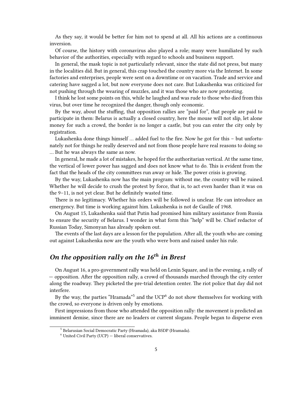As they say, it would be better for him not to spend at all. All his actions are a continuous inversion.

Of course, the history with coronavirus also played a role; many were humiliated by such behavior of the authorities, especially with regard to schools and business support.

In general, the mask topic is not particularly relevant, since the state did not press, but many in the localities did. But in general, this crap touched the country more via the Internet. In some factories and enterprises, people were sent on a downtime or on vacation. Trade and service and catering have sagged a lot, but now everyone does not care. But Lukashenka was criticized for not pushing through the wearing of muzzles, and it was those who are now protesting.

I think he lost some points on this, while he laughed and was rude to those who died from this virus, but over time he recognized the danger, though only economic.

By the way, about the stuffing, that opposition rallies are "paid for", that people are paid to participate in them: Belarus is actually a closed country, here the mouse will not slip, let alone money for such a crowd, the border is no longer a castle, but you can enter the city only by registration.

Lukashenka done things himself … added fuel to the fire. Now he got for this – but unfortunately not for things he really deserved and not from those people have real reasons to doing so … But he was always the same as now.

In general, he made a lot of mistakes, he hoped for the authoritarian vertical. At the same time, the vertical of lower power has sagged and does not know what to do. This is evident from the fact that the heads of the city committees run away or hide. The power crisis is growing.

By the way, Lukashenka now has the main program: without me, the country will be ruined. Whether he will decide to crush the protest by force, that is, to act even harder than it was on the 9–11, is not yet clear. But he definitely wasted time.

There is no legitimacy. Whether his orders will be followed is unclear. He can introduce an emergency. But time is working against him. Lukashenka is not de Gaulle of 1968.

On August 15, Lukashenka said that Putin had promised him military assistance from Russia to ensure the security of Belarus. I wonder in what form this "help" will be. Chief redactor of Russian Today, Simonyan has already spoken out.

The events of the last days are a lesson for the population. After all, the youth who are coming out against Lukashenka now are the youth who were born and raised under his rule.

### <span id="page-4-0"></span>*On the opposition rally on the 16th in Brest*

On August 16, a pro-government rally was held on Lenin Square, and in the evening, a rally of — opposition. After the opposition rally, a crowd of thousands marched through the city center along the roadway. They picketed the pre-trial detention center. The riot police that day did not interfere.

By the way, the parties "Hramada"<sup>5</sup> and the UCP<sup>6</sup> do not show themselves for working with the crowd, so everyone is driven only by emotions.

First impressions from those who attended the opposition rally: the movement is predicted an imminent demise, since there are no leaders or current slogans. People began to disperse even

<sup>5</sup> Belarusian Social Democratic Party (Hramada), aka BSDP (Hramada).

 $6$  United Civil Party (UCP)  $-$  liberal conservatives.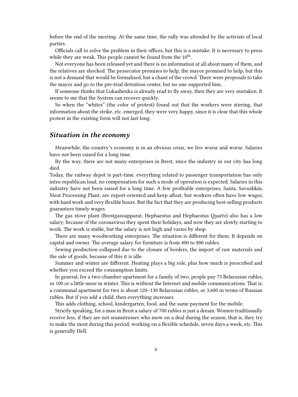before the end of the meeting. At the same time, the rally was attended by the activists of local parties.

Officials call to solve the problem in their offices, but this is a mistake. It is necessary to press while they are weak. This people cannot be found from the  $10^{\text{th}}$ .

Not everyone has been released yet and there is no information at all about many of them, and the relatives are shocked. The prosecutor promises to help, the mayor promised to help, but this is not a demand that would be formalized, but a chant of the crowd. There were proposals to take the mayor and go to the pre-trial detention center, but no one supported him.

If someone thinks that Lukashenka is already read to fly away, then they are very mistaken. It seems to me that the System can recover quickly.

So when the "whites" (the color of protest) found out that the workers were stirring, that information about the strike, etc. emerged, they were very happy, since it is clear that this whole protest in the existing form will not last long.

#### <span id="page-5-0"></span>*Situation in the economy*

Meanwhile, the country's economy is in an obvious crisis, we live worse and worse. Salaries have not been raised for a long time.

By the way, there are not many enterprises in Brest, since the industry in our city has long died.

Today, the railway depot is part-time, everything related to passenger transportation has only intra-republican load, no compensation for such a mode of operation is expected. Salaries in this industry have not been raised for a long time. A few profitable enterprises, Santa, Savushkin, Meat Processing Plant, are export-oriented and keep afloat, but workers often have low wages, with hard work and very flexible hours. But the fact that they are producing best-selling products guarantees timely wages.

The gas stove plant (Brestgazoapparat, Hephaestus and Hephaestus Quartz) also has a low salary; because of the coronavirus they spent their holidays, and now they are slowly starting to work. The work is stable, but the salary is not high and varies by shop.

There are many woodworking enterprises. The situation is different for them. It depends on capital and owner. The average salary for furniture is from 400 to 800 rubles.

Sewing production collapsed due to the closure of borders, the import of raw materials and the sale of goods, because of this it is idle.

Summer and winter are different. Heating plays a big role, plus how much is prescribed and whether you exceed the consumption limits.

In general, for a two-chamber-apartment for a family of two, people pay 75 Belarusian rubles, or 100 or a little more in winter. This is without the Internet and mobile communications. That is, a communal apartment for two is about 120–130 Belarusian rubles, or 3,600 in terms of Russian rubles. But if you add a child, then everything increases.

This adds clothing, school, kindergarten, food, and the same payment for the mobile.

Strictly speaking, for a man in Brest a salary of 700 rubles is just a dream. Women traditionally receive less, if they are not seamstresses who mow on a deal during the season, that is, they try to make the most during this period, working on a flexible schedule, seven days a week, etc. This is generally Hell.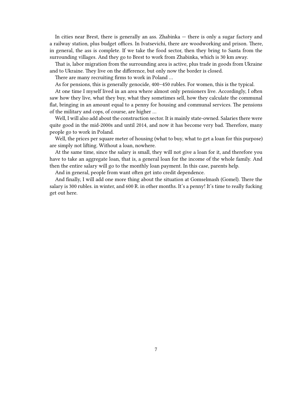In cities near Brest, there is generally an ass. Zhabinka — there is only a sugar factory and a railway station, plus budget offices. In Ivatsevichi, there are woodworking and prison. There, in general, the ass is complete. If we take the food sector, then they bring to Santa from the surrounding villages. And they go to Brest to work from Zhabinka, which is 30 km away.

That is, labor migration from the surrounding area is active, plus trade in goods from Ukraine and to Ukraine. They live on the difference, but only now the border is closed.

There are many recruiting firms to work in Poland …

As for pensions, this is generally genocide, 400–450 rubles. For women, this is the typical.

At one time I myself lived in an area where almost only pensioners live. Accordingly, I often saw how they live, what they buy, what they sometimes sell, how they calculate the communal flat, bringing in an amount equal to a penny for housing and communal services. The pensions of the military and cops, of course, are higher …

Well, I will also add about the construction sector. It is mainly state-owned. Salaries there were quite good in the mid-2000s and until 2014, and now it has become very bad. Therefore, many people go to work in Poland.

Well, the prices per square meter of housing (what to buy, what to get a loan for this purpose) are simply not lifting. Without a loan, nowhere.

At the same time, since the salary is small, they will not give a loan for it, and therefore you have to take an aggregate loan, that is, a general loan for the income of the whole family. And then the entire salary will go to the monthly loan payment. In this case, parents help.

And in general, people from want often get into credit dependence.

And finally, I will add one more thing about the situation at Gomselmash (Gomel). There the salary is 300 rubles. in winter, and 600 R. in other months. It's a penny! It's time to really fucking get out here.